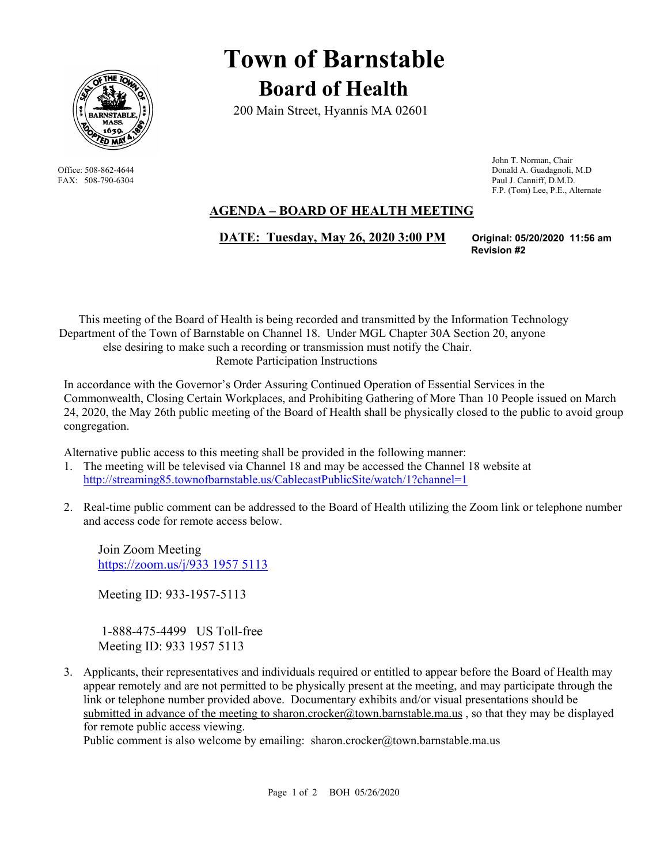

# **Town of Barnstable Board of Health**

200 Main Street, Hyannis MA 02601

 John T. Norman, Chair Office: 508-862-4644 Donald A. Guadagnoli, M.D FAX: 508-790-6304 Paul J. Canniff, D.M.D. F.P. (Tom) Lee, P.E., Alternate

# **AGENDA – BOARD OF HEALTH MEETING**

 **DATE: Tuesday, May 26, 2020 3:00 PM Original: 05/20/2020 11:56 am**

**Revision #2** 

This meeting of the Board of Health is being recorded and transmitted by the Information Technology Department of the Town of Barnstable on Channel 18. Under MGL Chapter 30A Section 20, anyone else desiring to make such a recording or transmission must notify the Chair. Remote Participation Instructions

In accordance with the Governor's Order Assuring Continued Operation of Essential Services in the Commonwealth, Closing Certain Workplaces, and Prohibiting Gathering of More Than 10 People issued on March 24, 2020, the May 26th public meeting of the Board of Health shall be physically closed to the public to avoid group congregation.

Alternative public access to this meeting shall be provided in the following manner:

- 1. The meeting will be televised via Channel 18 and may be accessed the Channel 18 website at http://streaming85.townofbarnstable.us/CablecastPublicSite/watch/1?channel=1
- 2. Real-time public comment can be addressed to the Board of Health utilizing the Zoom link or telephone number and access code for remote access below.

Join Zoom Meeting https://zoom.us/j/933 1957 5113

Meeting ID: 933-1957-5113

 1-888-475-4499 US Toll-free Meeting ID: 933 1957 5113

3. Applicants, their representatives and individuals required or entitled to appear before the Board of Health may appear remotely and are not permitted to be physically present at the meeting, and may participate through the link or telephone number provided above. Documentary exhibits and/or visual presentations should be submitted in advance of the meeting to sharon.crocker@town.barnstable.ma.us, so that they may be displayed for remote public access viewing.

Public comment is also welcome by emailing: sharon.crocker@town.barnstable.ma.us